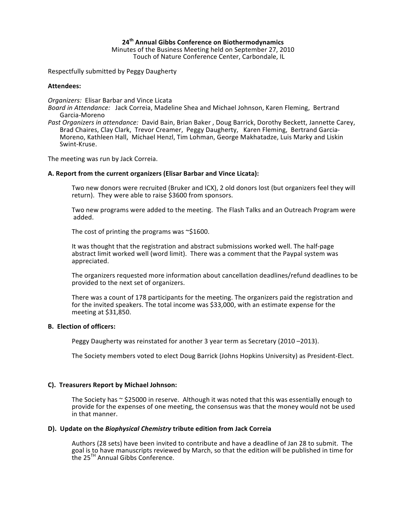# **24th%Annual%Gibbs%Conference%on%Biothermodynamics**

Minutes of the Business Meeting held on September 27, 2010 Touch of Nature Conference Center, Carbondale, IL

Respectfully submitted by Peggy Daugherty

#### Attendees:

*Organizers:* Elisar Barbar and Vince Licata

- *Board in Attendance:* Jack Correia, Madeline Shea and Michael Johnson, Karen Fleming, Bertrand Garcia-Moreno
- *Past Organizers in attendance:* David Bain, Brian Baker, Doug Barrick, Dorothy Beckett, Jannette Carey, Brad Chaires, Clay Clark, Trevor Creamer, Peggy Daugherty, Karen Fleming, Bertrand Garcia-Moreno, Kathleen Hall, Michael Henzl, Tim Lohman, George Makhatadze, Luis Marky and Liskin Swint-Kruse.

The meeting was run by Jack Correia.

#### A. Report from the current organizers (Elisar Barbar and Vince Licata):

Two new donors were recruited (Bruker and ICX), 2 old donors lost (but organizers feel they will return). They were able to raise \$3600 from sponsors.

Two new programs were added to the meeting. The Flash Talks and an Outreach Program were (added.

The cost of printing the programs was  $\sim$ \$1600.

It was thought that the registration and abstract submissions worked well. The half-page abstract limit worked well (word limit). There was a comment that the Paypal system was appreciated.

The organizers requested more information about cancellation deadlines/refund deadlines to be provided to the next set of organizers.

There was a count of 178 participants for the meeting. The organizers paid the registration and for the invited speakers. The total income was \$33,000, with an estimate expense for the meeting at  $$31,850$ .

#### **B. Election of officers:**

Peggy Daugherty was reinstated for another 3 year term as Secretary (2010–2013).

The Society members voted to elect Doug Barrick (Johns Hopkins University) as President-Elect.

# **C).%%Treasurers%Report%by%Michael%Johnson:**

The Society has  $\sim$  \$25000 in reserve. Although it was noted that this was essentially enough to provide for the expenses of one meeting, the consensus was that the money would not be used in that manner.

# **D). Update on the** *Biophysical Chemistry* **tribute edition from Jack Correia**

Authors (28 sets) have been invited to contribute and have a deadline of Jan 28 to submit. The goal is to have manuscripts reviewed by March, so that the edition will be published in time for the  $25^{TH}$  Annual Gibbs Conference.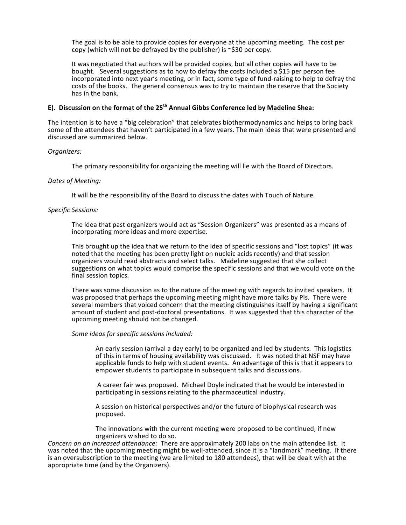The goal is to be able to provide copies for everyone at the upcoming meeting. The cost per copy (which will not be defrayed by the publisher) is  $\sim$ \$30 per copy.

It was negotiated that authors will be provided copies, but all other copies will have to be bought. Several suggestions as to how to defray the costs included a \$15 per person fee incorporated into next year's meeting, or in fact, some type of fund-raising to help to defray the costs of the books. The general consensus was to try to maintain the reserve that the Society has in the bank.

# E). Discussion on the format of the 25<sup>th</sup> Annual Gibbs Conference led by Madeline Shea:

The intention is to have a "big celebration" that celebrates biothermodynamics and helps to bring back some of the attendees that haven't participated in a few years. The main ideas that were presented and discussed are summarized below.

#### **Organizers:**

The primary responsibility for organizing the meeting will lie with the Board of Directors.

#### *Dates.of.Meeting:*

It will be the responsibility of the Board to discuss the dates with Touch of Nature.

#### *Specific.Sessions:*((

The idea that past organizers would act as "Session Organizers" was presented as a means of incorporating more ideas and more expertise.

This brought up the idea that we return to the idea of specific sessions and "lost topics" (it was noted that the meeting has been pretty light on nucleic acids recently) and that session organizers would read abstracts and select talks. Madeline suggested that she collect suggestions on what topics would comprise the specific sessions and that we would vote on the final session topics.

There was some discussion as to the nature of the meeting with regards to invited speakers. It was proposed that perhaps the upcoming meeting might have more talks by PIs. There were several members that voiced concern that the meeting distinguishes itself by having a significant amount of student and post-doctoral presentations. It was suggested that this character of the upcoming meeting should not be changed.

#### *Some.ideas.for.specific.sessions.included:*

An early session (arrival a day early) to be organized and led by students. This logistics of this in terms of housing availability was discussed. It was noted that NSF may have applicable funds to help with student events. An advantage of this is that it appears to empower students to participate in subsequent talks and discussions.

A career fair was proposed. Michael Doyle indicated that he would be interested in participating in sessions relating to the pharmaceutical industry.

A session on historical perspectives and/or the future of biophysical research was proposed.

The innovations with the current meeting were proposed to be continued, if new organizers wished to do so.

*Concern.on.an.increased.attendance:* There are approximately 200 labs on the main attendee list. It was noted that the upcoming meeting might be well-attended, since it is a "landmark" meeting. If there is an oversubscription to the meeting (we are limited to 180 attendees), that will be dealt with at the appropriate time (and by the Organizers).